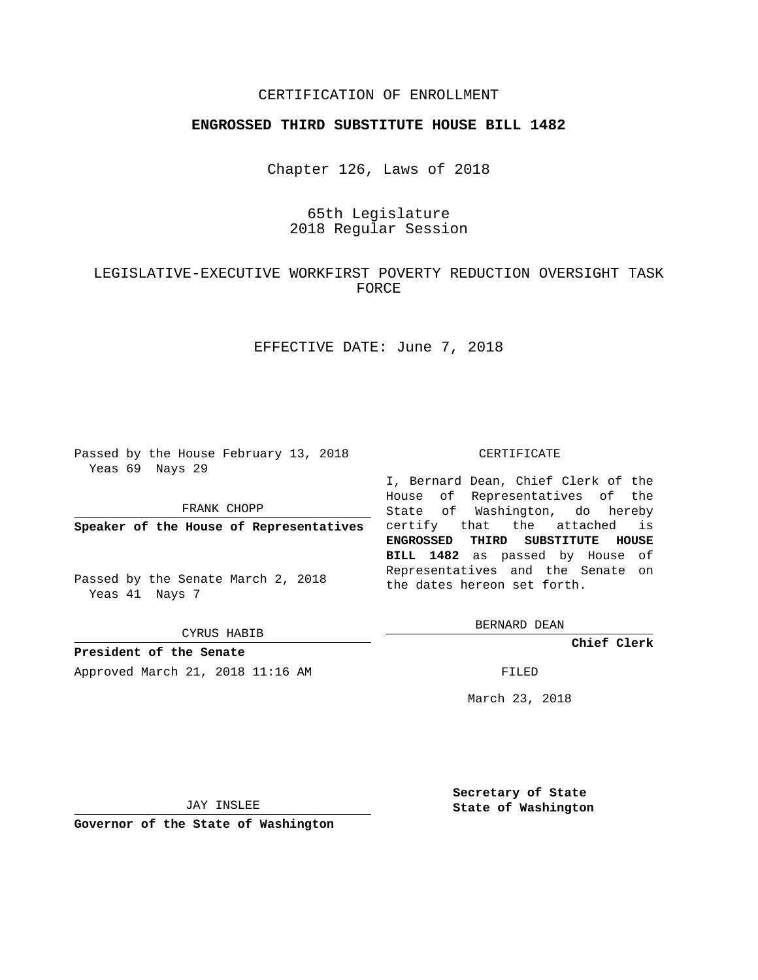## CERTIFICATION OF ENROLLMENT

### **ENGROSSED THIRD SUBSTITUTE HOUSE BILL 1482**

Chapter 126, Laws of 2018

## 65th Legislature 2018 Regular Session

# LEGISLATIVE-EXECUTIVE WORKFIRST POVERTY REDUCTION OVERSIGHT TASK FORCE

EFFECTIVE DATE: June 7, 2018

Passed by the House February 13, 2018 Yeas 69 Nays 29

FRANK CHOPP

**Speaker of the House of Representatives**

Passed by the Senate March 2, 2018 Yeas 41 Nays 7

CYRUS HABIB

**President of the Senate** Approved March 21, 2018 11:16 AM FILED

#### CERTIFICATE

I, Bernard Dean, Chief Clerk of the House of Representatives of the State of Washington, do hereby certify that the attached is **ENGROSSED THIRD SUBSTITUTE HOUSE BILL 1482** as passed by House of Representatives and the Senate on the dates hereon set forth.

BERNARD DEAN

**Chief Clerk**

March 23, 2018

JAY INSLEE

**Governor of the State of Washington**

**Secretary of State State of Washington**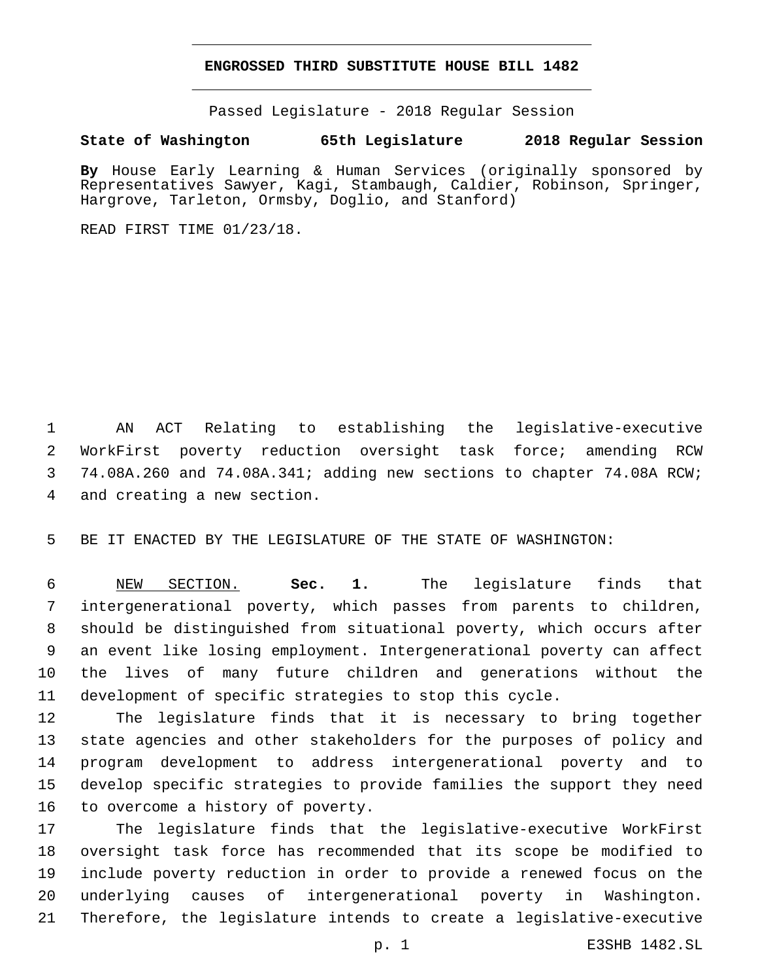### **ENGROSSED THIRD SUBSTITUTE HOUSE BILL 1482**

Passed Legislature - 2018 Regular Session

**State of Washington 65th Legislature 2018 Regular Session**

**By** House Early Learning & Human Services (originally sponsored by Representatives Sawyer, Kagi, Stambaugh, Caldier, Robinson, Springer, Hargrove, Tarleton, Ormsby, Doglio, and Stanford)

READ FIRST TIME 01/23/18.

 AN ACT Relating to establishing the legislative-executive WorkFirst poverty reduction oversight task force; amending RCW 74.08A.260 and 74.08A.341; adding new sections to chapter 74.08A RCW; 4 and creating a new section.

BE IT ENACTED BY THE LEGISLATURE OF THE STATE OF WASHINGTON:

 NEW SECTION. **Sec. 1.** The legislature finds that intergenerational poverty, which passes from parents to children, should be distinguished from situational poverty, which occurs after an event like losing employment. Intergenerational poverty can affect the lives of many future children and generations without the development of specific strategies to stop this cycle.

 The legislature finds that it is necessary to bring together state agencies and other stakeholders for the purposes of policy and program development to address intergenerational poverty and to develop specific strategies to provide families the support they need 16 to overcome a history of poverty.

 The legislature finds that the legislative-executive WorkFirst oversight task force has recommended that its scope be modified to include poverty reduction in order to provide a renewed focus on the underlying causes of intergenerational poverty in Washington. Therefore, the legislature intends to create a legislative-executive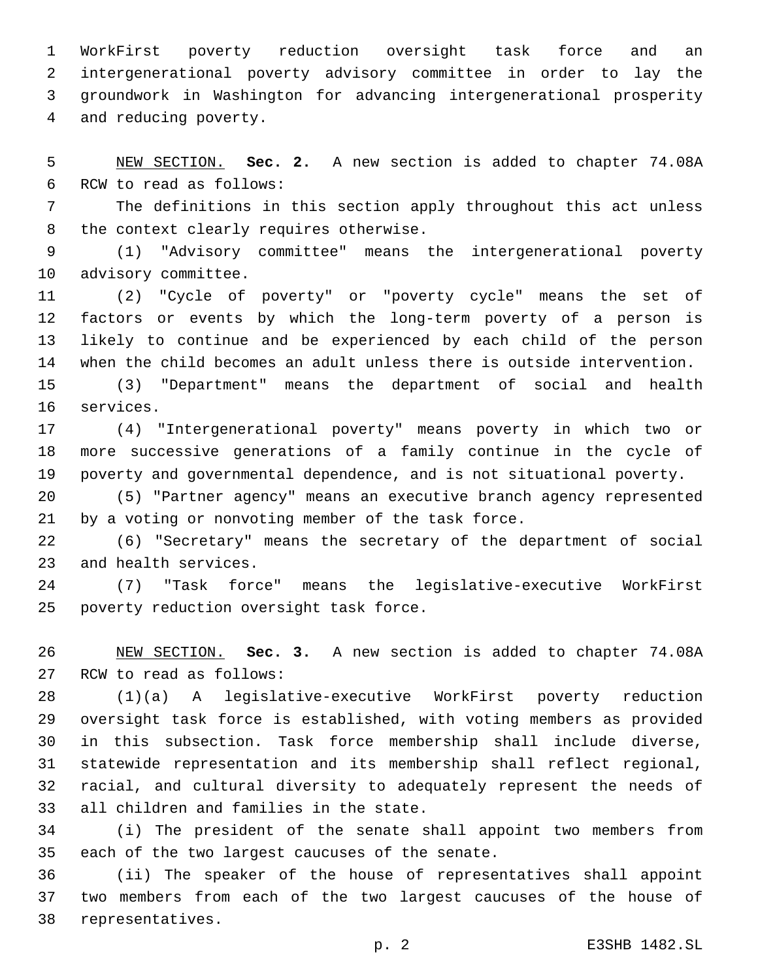WorkFirst poverty reduction oversight task force and an intergenerational poverty advisory committee in order to lay the groundwork in Washington for advancing intergenerational prosperity 4 and reducing poverty.

 NEW SECTION. **Sec. 2.** A new section is added to chapter 74.08A 6 RCW to read as follows:

 The definitions in this section apply throughout this act unless 8 the context clearly requires otherwise.

 (1) "Advisory committee" means the intergenerational poverty 10 advisory committee.

 (2) "Cycle of poverty" or "poverty cycle" means the set of factors or events by which the long-term poverty of a person is likely to continue and be experienced by each child of the person when the child becomes an adult unless there is outside intervention.

 (3) "Department" means the department of social and health 16 services.

 (4) "Intergenerational poverty" means poverty in which two or more successive generations of a family continue in the cycle of poverty and governmental dependence, and is not situational poverty.

 (5) "Partner agency" means an executive branch agency represented by a voting or nonvoting member of the task force.

 (6) "Secretary" means the secretary of the department of social 23 and health services.

 (7) "Task force" means the legislative-executive WorkFirst 25 poverty reduction oversight task force.

 NEW SECTION. **Sec. 3.** A new section is added to chapter 74.08A 27 RCW to read as follows:

 (1)(a) A legislative-executive WorkFirst poverty reduction oversight task force is established, with voting members as provided in this subsection. Task force membership shall include diverse, statewide representation and its membership shall reflect regional, racial, and cultural diversity to adequately represent the needs of 33 all children and families in the state.

 (i) The president of the senate shall appoint two members from 35 each of the two largest caucuses of the senate.

 (ii) The speaker of the house of representatives shall appoint two members from each of the two largest caucuses of the house of 38 representatives.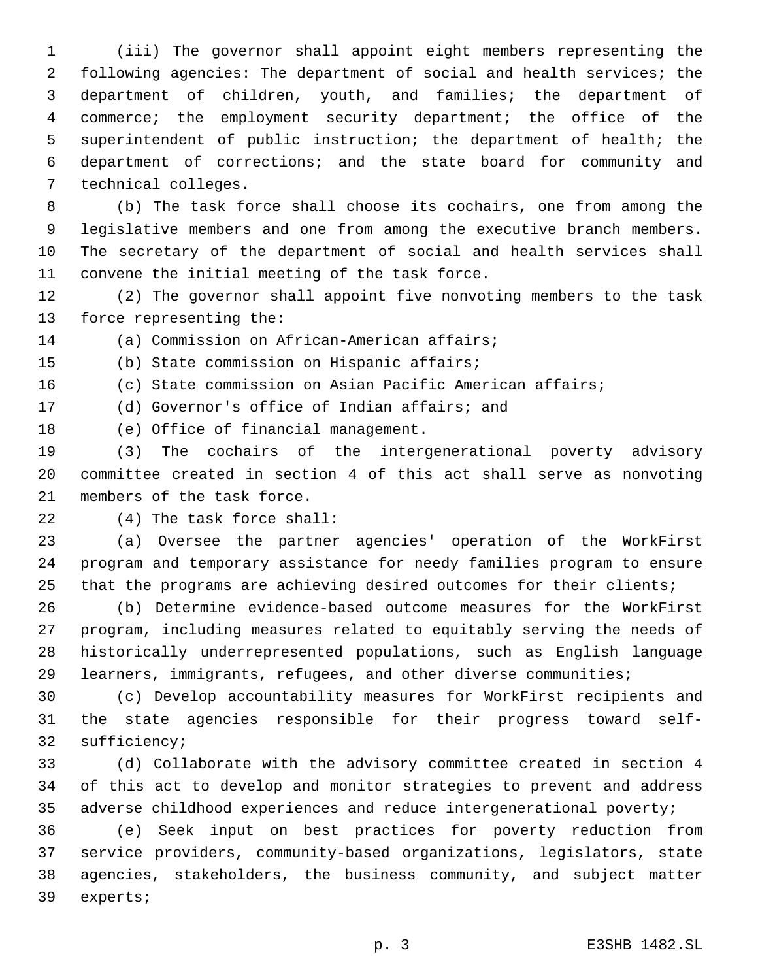(iii) The governor shall appoint eight members representing the following agencies: The department of social and health services; the department of children, youth, and families; the department of commerce; the employment security department; the office of the superintendent of public instruction; the department of health; the department of corrections; and the state board for community and 7 technical colleges.

 (b) The task force shall choose its cochairs, one from among the legislative members and one from among the executive branch members. The secretary of the department of social and health services shall 11 convene the initial meeting of the task force.

 (2) The governor shall appoint five nonvoting members to the task 13 force representing the:

14 (a) Commission on African-American affairs;

15 (b) State commission on Hispanic affairs;

(c) State commission on Asian Pacific American affairs;

17 (d) Governor's office of Indian affairs; and

18 (e) Office of financial management.

 (3) The cochairs of the intergenerational poverty advisory committee created in section 4 of this act shall serve as nonvoting 21 members of the task force.

(4) The task force shall:22

 (a) Oversee the partner agencies' operation of the WorkFirst program and temporary assistance for needy families program to ensure that the programs are achieving desired outcomes for their clients;

 (b) Determine evidence-based outcome measures for the WorkFirst program, including measures related to equitably serving the needs of historically underrepresented populations, such as English language learners, immigrants, refugees, and other diverse communities;

 (c) Develop accountability measures for WorkFirst recipients and the state agencies responsible for their progress toward self-32 sufficiency;

 (d) Collaborate with the advisory committee created in section 4 of this act to develop and monitor strategies to prevent and address adverse childhood experiences and reduce intergenerational poverty;

 (e) Seek input on best practices for poverty reduction from service providers, community-based organizations, legislators, state agencies, stakeholders, the business community, and subject matter 39 experts;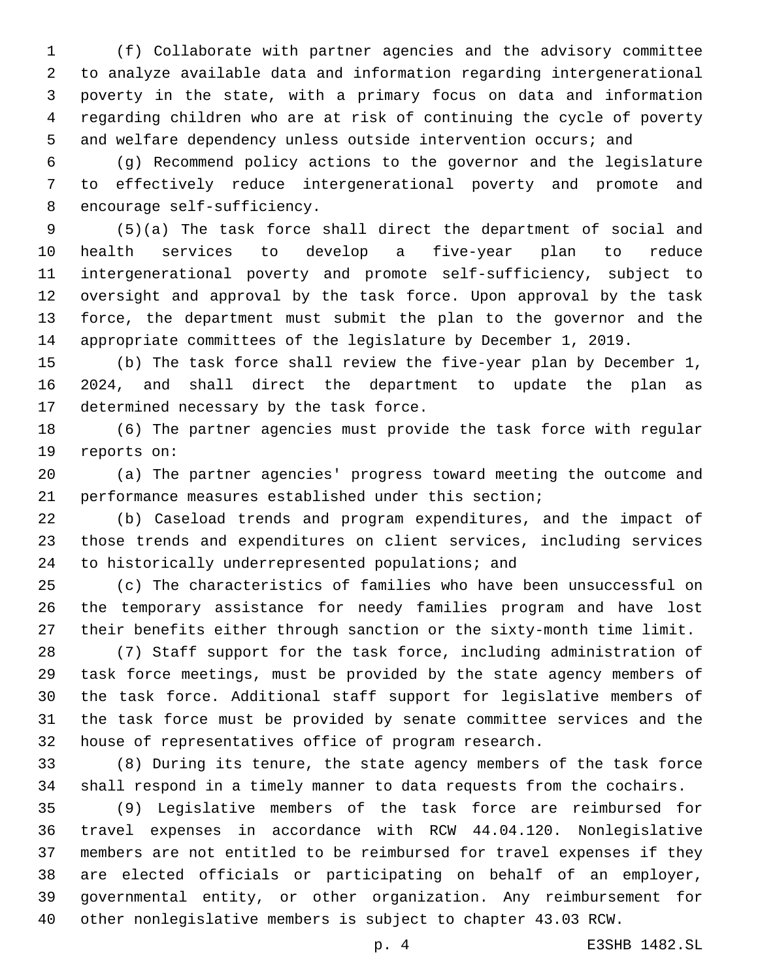(f) Collaborate with partner agencies and the advisory committee to analyze available data and information regarding intergenerational poverty in the state, with a primary focus on data and information regarding children who are at risk of continuing the cycle of poverty 5 and welfare dependency unless outside intervention occurs; and

 (g) Recommend policy actions to the governor and the legislature to effectively reduce intergenerational poverty and promote and 8 encourage self-sufficiency.

 (5)(a) The task force shall direct the department of social and health services to develop a five-year plan to reduce intergenerational poverty and promote self-sufficiency, subject to oversight and approval by the task force. Upon approval by the task force, the department must submit the plan to the governor and the appropriate committees of the legislature by December 1, 2019.

 (b) The task force shall review the five-year plan by December 1, 2024, and shall direct the department to update the plan as 17 determined necessary by the task force.

 (6) The partner agencies must provide the task force with regular 19 reports on:

 (a) The partner agencies' progress toward meeting the outcome and performance measures established under this section;

 (b) Caseload trends and program expenditures, and the impact of those trends and expenditures on client services, including services 24 to historically underrepresented populations; and

 (c) The characteristics of families who have been unsuccessful on the temporary assistance for needy families program and have lost their benefits either through sanction or the sixty-month time limit.

 (7) Staff support for the task force, including administration of task force meetings, must be provided by the state agency members of the task force. Additional staff support for legislative members of the task force must be provided by senate committee services and the house of representatives office of program research.

 (8) During its tenure, the state agency members of the task force shall respond in a timely manner to data requests from the cochairs.

 (9) Legislative members of the task force are reimbursed for travel expenses in accordance with RCW 44.04.120. Nonlegislative members are not entitled to be reimbursed for travel expenses if they are elected officials or participating on behalf of an employer, governmental entity, or other organization. Any reimbursement for other nonlegislative members is subject to chapter 43.03 RCW.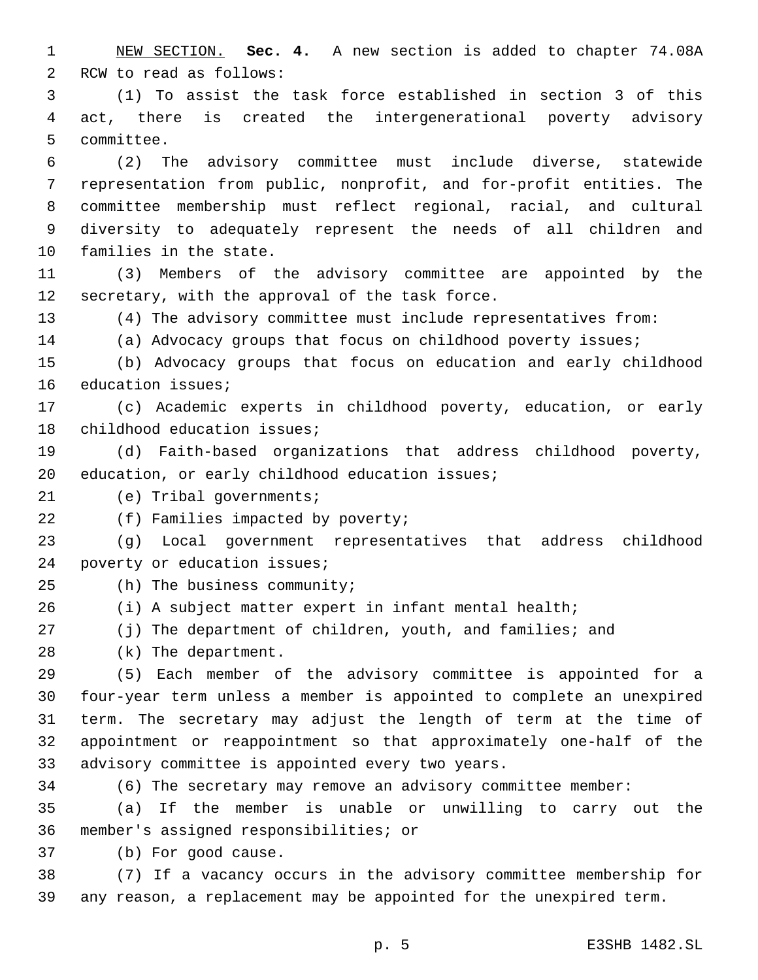1 NEW SECTION. **Sec. 4.** A new section is added to chapter 74.08A 2 RCW to read as follows:

3 (1) To assist the task force established in section 3 of this 4 act, there is created the intergenerational poverty advisory 5 committee.

 (2) The advisory committee must include diverse, statewide representation from public, nonprofit, and for-profit entities. The committee membership must reflect regional, racial, and cultural diversity to adequately represent the needs of all children and 10 families in the state.

11 (3) Members of the advisory committee are appointed by the 12 secretary, with the approval of the task force.

13 (4) The advisory committee must include representatives from:

14 (a) Advocacy groups that focus on childhood poverty issues;

15 (b) Advocacy groups that focus on education and early childhood 16 education issues;

17 (c) Academic experts in childhood poverty, education, or early 18 childhood education issues;

19 (d) Faith-based organizations that address childhood poverty, 20 education, or early childhood education issues;

21 (e) Tribal governments;

22 (f) Families impacted by poverty;

23 (g) Local government representatives that address childhood 24 poverty or education issues;

25 (h) The business community;

26 (i) A subject matter expert in infant mental health;

27 (j) The department of children, youth, and families; and

28 (k) The department.

 (5) Each member of the advisory committee is appointed for a four-year term unless a member is appointed to complete an unexpired term. The secretary may adjust the length of term at the time of appointment or reappointment so that approximately one-half of the 33 advisory committee is appointed every two years.

34 (6) The secretary may remove an advisory committee member:

35 (a) If the member is unable or unwilling to carry out the 36 member's assigned responsibilities; or

37 (b) For good cause.

38 (7) If a vacancy occurs in the advisory committee membership for 39 any reason, a replacement may be appointed for the unexpired term.

p. 5 E3SHB 1482.SL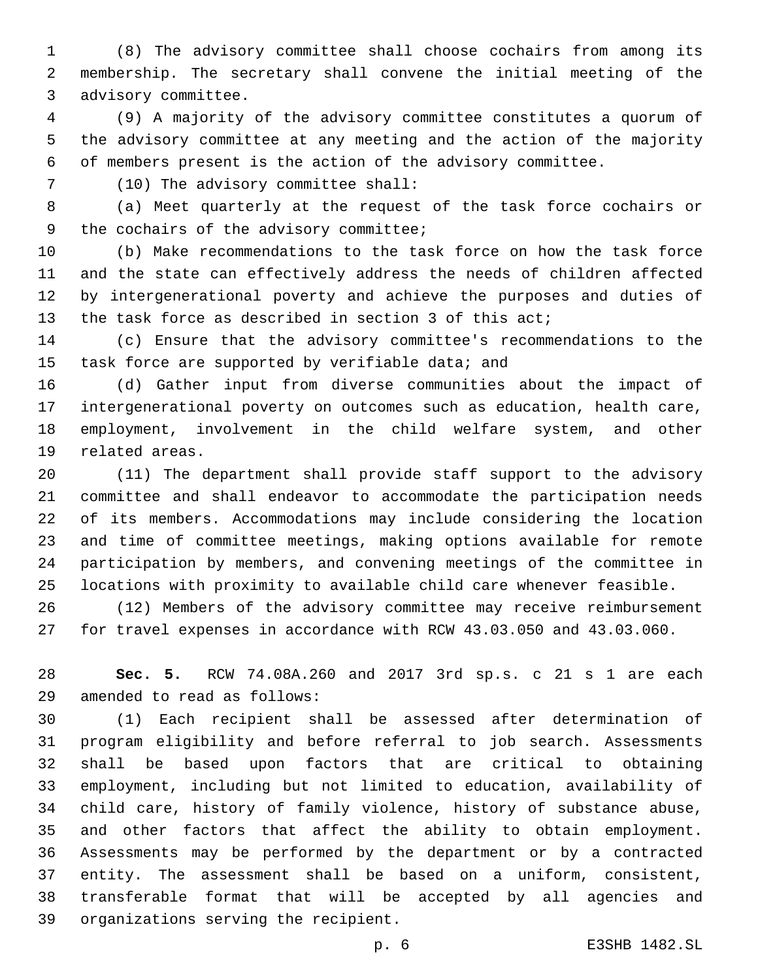(8) The advisory committee shall choose cochairs from among its membership. The secretary shall convene the initial meeting of the 3 advisory committee.

 (9) A majority of the advisory committee constitutes a quorum of the advisory committee at any meeting and the action of the majority of members present is the action of the advisory committee.

(10) The advisory committee shall:7

 (a) Meet quarterly at the request of the task force cochairs or 9 the cochairs of the advisory committee;

 (b) Make recommendations to the task force on how the task force and the state can effectively address the needs of children affected by intergenerational poverty and achieve the purposes and duties of the task force as described in section 3 of this act;

 (c) Ensure that the advisory committee's recommendations to the 15 task force are supported by verifiable data; and

 (d) Gather input from diverse communities about the impact of intergenerational poverty on outcomes such as education, health care, employment, involvement in the child welfare system, and other 19 related areas.

 (11) The department shall provide staff support to the advisory committee and shall endeavor to accommodate the participation needs of its members. Accommodations may include considering the location and time of committee meetings, making options available for remote participation by members, and convening meetings of the committee in locations with proximity to available child care whenever feasible.

 (12) Members of the advisory committee may receive reimbursement for travel expenses in accordance with RCW 43.03.050 and 43.03.060.

 **Sec. 5.** RCW 74.08A.260 and 2017 3rd sp.s. c 21 s 1 are each amended to read as follows:29

 (1) Each recipient shall be assessed after determination of program eligibility and before referral to job search. Assessments shall be based upon factors that are critical to obtaining employment, including but not limited to education, availability of child care, history of family violence, history of substance abuse, and other factors that affect the ability to obtain employment. Assessments may be performed by the department or by a contracted entity. The assessment shall be based on a uniform, consistent, transferable format that will be accepted by all agencies and 39 organizations serving the recipient.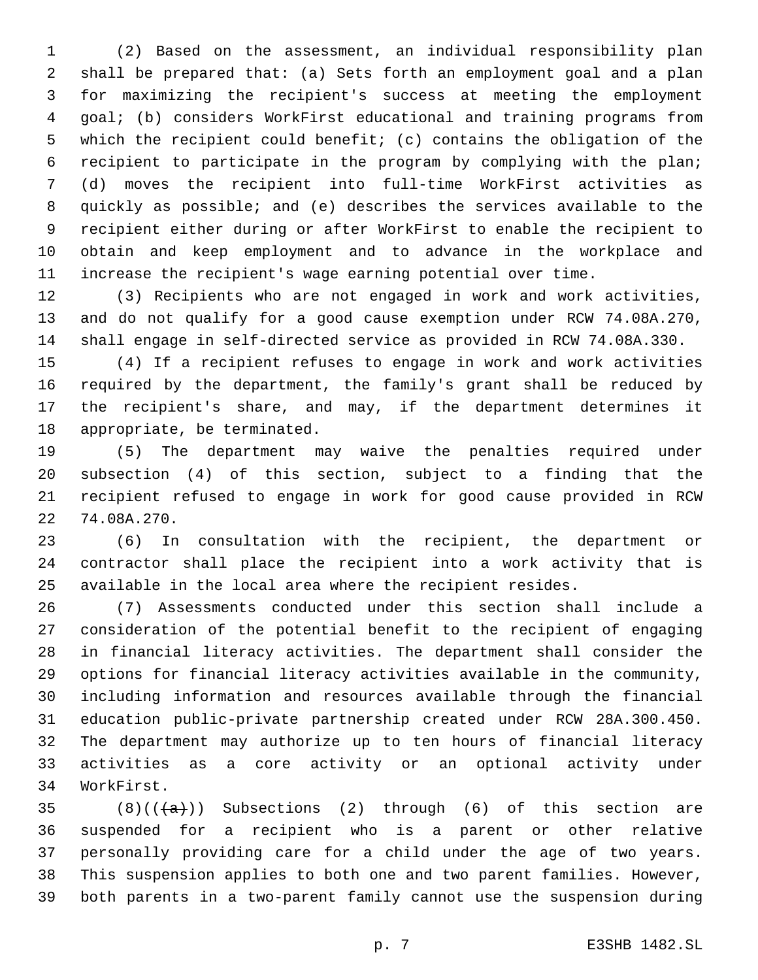(2) Based on the assessment, an individual responsibility plan shall be prepared that: (a) Sets forth an employment goal and a plan for maximizing the recipient's success at meeting the employment goal; (b) considers WorkFirst educational and training programs from which the recipient could benefit; (c) contains the obligation of the recipient to participate in the program by complying with the plan; (d) moves the recipient into full-time WorkFirst activities as quickly as possible; and (e) describes the services available to the recipient either during or after WorkFirst to enable the recipient to obtain and keep employment and to advance in the workplace and increase the recipient's wage earning potential over time.

 (3) Recipients who are not engaged in work and work activities, and do not qualify for a good cause exemption under RCW 74.08A.270, shall engage in self-directed service as provided in RCW 74.08A.330.

 (4) If a recipient refuses to engage in work and work activities required by the department, the family's grant shall be reduced by the recipient's share, and may, if the department determines it 18 appropriate, be terminated.

 (5) The department may waive the penalties required under subsection (4) of this section, subject to a finding that the recipient refused to engage in work for good cause provided in RCW 22 74.08A.270.

 (6) In consultation with the recipient, the department or contractor shall place the recipient into a work activity that is available in the local area where the recipient resides.

 (7) Assessments conducted under this section shall include a consideration of the potential benefit to the recipient of engaging in financial literacy activities. The department shall consider the options for financial literacy activities available in the community, including information and resources available through the financial education public-private partnership created under RCW 28A.300.450. The department may authorize up to ten hours of financial literacy activities as a core activity or an optional activity under 34 WorkFirst.

 $(8)((\{a\}))$  Subsections (2) through (6) of this section are suspended for a recipient who is a parent or other relative personally providing care for a child under the age of two years. This suspension applies to both one and two parent families. However, both parents in a two-parent family cannot use the suspension during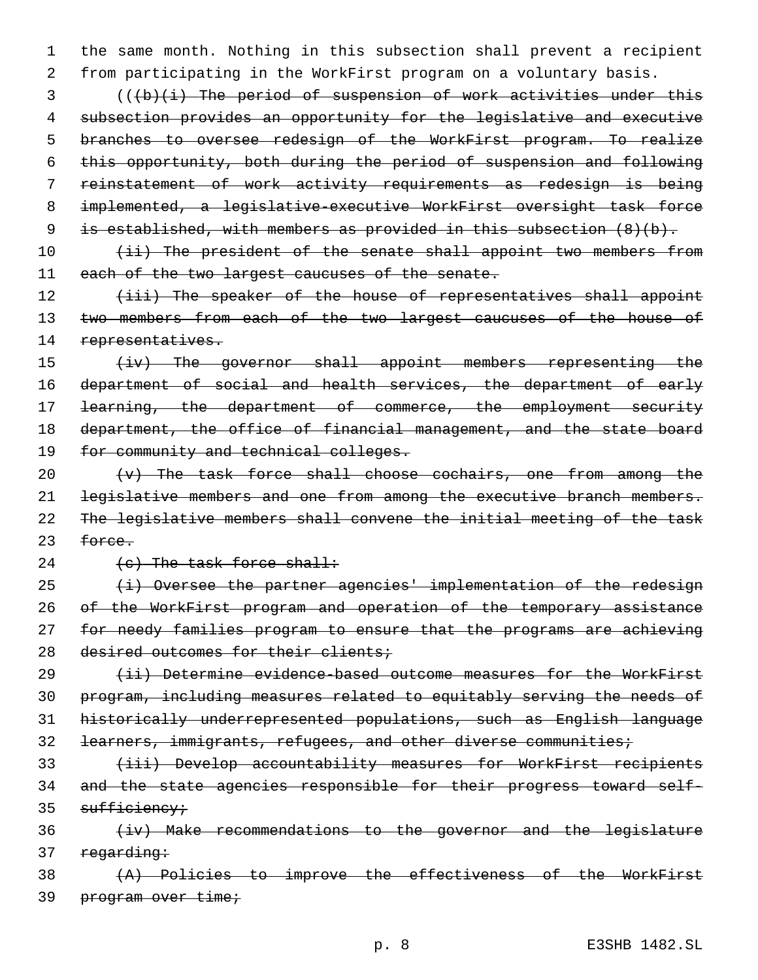1 the same month. Nothing in this subsection shall prevent a recipient 2 from participating in the WorkFirst program on a voluntary basis.

 (((b)(i) The period of suspension of work activities under this subsection provides an opportunity for the legislative and executive branches to oversee redesign of the WorkFirst program. To realize this opportunity, both during the period of suspension and following reinstatement of work activity requirements as redesign is being implemented, a legislative-executive WorkFirst oversight task force is established, with members as provided in this subsection (8)(b).

10 (ii) The president of the senate shall appoint two members from 11 each of the two largest caucuses of the senate.

12 (iii) The speaker of the house of representatives shall appoint 13 two members from each of the two largest caucuses of the house of 14 representatives.

15 (iv) The governor shall appoint members representing the 16 department of social and health services, the department of early 17 learning, the department of commerce, the employment security 18 department, the office of financial management, and the state board 19 for community and technical colleges.

20  $\{v\}$  The task force shall choose cochairs, one from among the 21 legislative members and one from among the executive branch members. 22 The legislative members shall convene the initial meeting of the task 23 force.

 $24 \left( e \right)$  The task force shall:

  $(i)$  Oversee the partner agencies' implementation of the redesign of the WorkFirst program and operation of the temporary assistance for needy families program to ensure that the programs are achieving 28 desired outcomes for their clients;

 (ii) Determine evidence-based outcome measures for the WorkFirst program, including measures related to equitably serving the needs of historically underrepresented populations, such as English language 32 <del>learners, immigrants, refugees, and other diverse communities;</del>

33 (iii) Develop accountability measures for WorkFirst recipients 34 and the state agencies responsible for their progress toward self-35 sufficiency;

36 (iv) Make recommendations to the governor and the legislature 37 regarding:

38 (A) Policies to improve the effectiveness of the WorkFirst 39 program over time;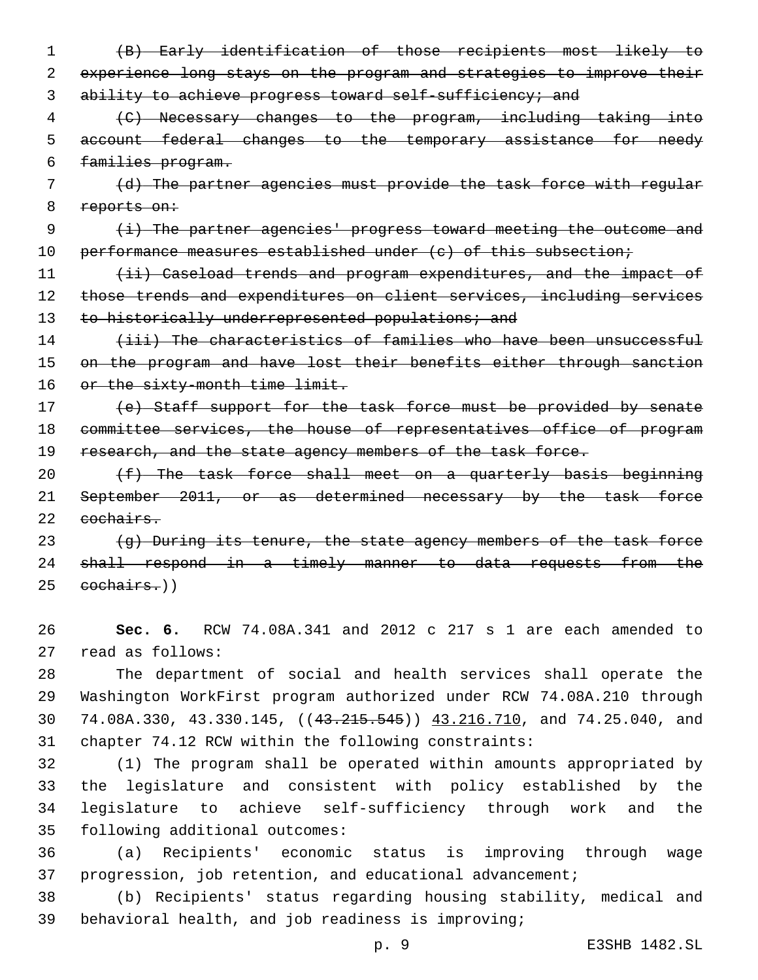- 1 (B) Early identification of those recipients most likely to 2 experience long stays on the program and strategies to improve their 3 ability to achieve progress toward self-sufficiency; and
- 4 (C) Necessary changes to the program, including taking into 5 account federal changes to the temporary assistance for needy 6 families program.
- 7 (d) The partner agencies must provide the task force with regular 8 reports on:
- 9 (i) The partner agencies' progress toward meeting the outcome and 10 performance measures established under (c) of this subsection;
- 11 (ii) Caseload trends and program expenditures, and the impact of 12 those trends and expenditures on client services, including services 13 to historically underrepresented populations; and
- 14 (iii) The characteristics of families who have been unsuccessful 15 on the program and have lost their benefits either through sanction 16 or the sixty-month time limit.
- 17 (e) Staff support for the task force must be provided by senate 18 committee services, the house of representatives office of program 19 research, and the state agency members of the task force.
- 20 (f) The task force shall meet on a quarterly basis beginning 21 September 2011, or as determined necessary by the task force 22 eochairs.
- $\{g\}$  During its tenure, the state agency members of the task force 24 shall respond in a timely manner to data requests from the  $25$  cochairs.)
- 26 **Sec. 6.** RCW 74.08A.341 and 2012 c 217 s 1 are each amended to read as follows:27
- 28 The department of social and health services shall operate the 29 Washington WorkFirst program authorized under RCW 74.08A.210 through 30 74.08A.330, 43.330.145, ((43.215.545)) 43.216.710, and 74.25.040, and 31 chapter 74.12 RCW within the following constraints:
- 32 (1) The program shall be operated within amounts appropriated by 33 the legislature and consistent with policy established by the 34 legislature to achieve self-sufficiency through work and the 35 following additional outcomes:
- 36 (a) Recipients' economic status is improving through wage 37 progression, job retention, and educational advancement;
- 38 (b) Recipients' status regarding housing stability, medical and 39 behavioral health, and job readiness is improving;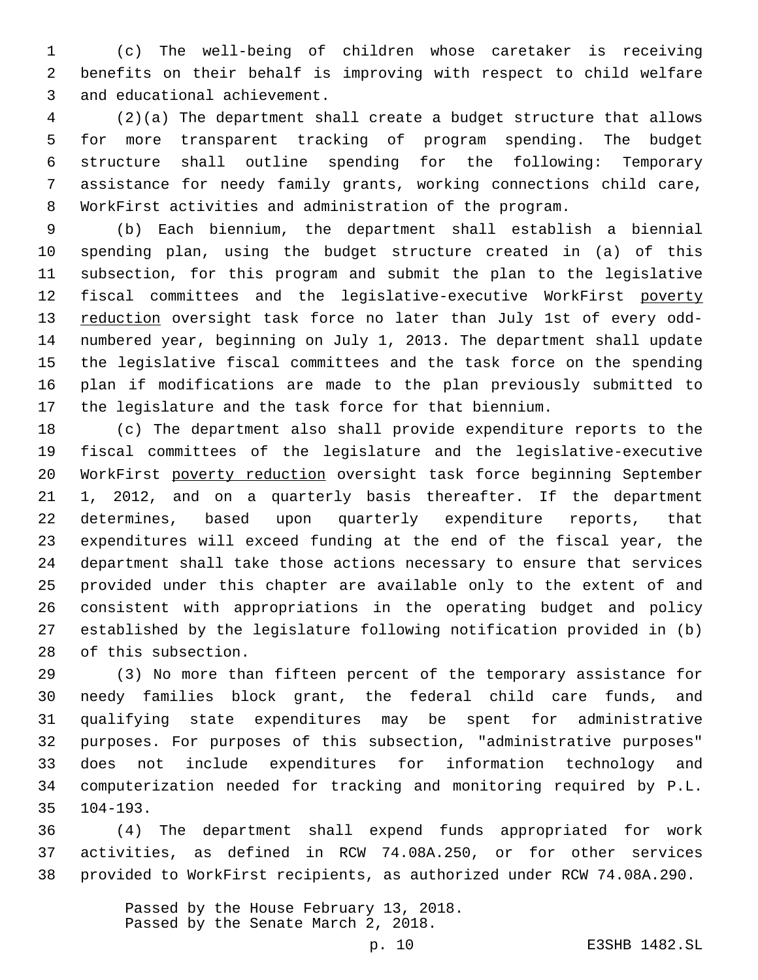(c) The well-being of children whose caretaker is receiving benefits on their behalf is improving with respect to child welfare 3 and educational achievement.

 (2)(a) The department shall create a budget structure that allows for more transparent tracking of program spending. The budget structure shall outline spending for the following: Temporary assistance for needy family grants, working connections child care, WorkFirst activities and administration of the program.

 (b) Each biennium, the department shall establish a biennial spending plan, using the budget structure created in (a) of this subsection, for this program and submit the plan to the legislative fiscal committees and the legislative-executive WorkFirst poverty 13 reduction oversight task force no later than July 1st of every odd- numbered year, beginning on July 1, 2013. The department shall update the legislative fiscal committees and the task force on the spending plan if modifications are made to the plan previously submitted to the legislature and the task force for that biennium.

 (c) The department also shall provide expenditure reports to the fiscal committees of the legislature and the legislative-executive WorkFirst poverty reduction oversight task force beginning September 1, 2012, and on a quarterly basis thereafter. If the department determines, based upon quarterly expenditure reports, that expenditures will exceed funding at the end of the fiscal year, the department shall take those actions necessary to ensure that services provided under this chapter are available only to the extent of and consistent with appropriations in the operating budget and policy established by the legislature following notification provided in (b) 28 of this subsection.

 (3) No more than fifteen percent of the temporary assistance for needy families block grant, the federal child care funds, and qualifying state expenditures may be spent for administrative purposes. For purposes of this subsection, "administrative purposes" does not include expenditures for information technology and computerization needed for tracking and monitoring required by P.L. 104-193.35

 (4) The department shall expend funds appropriated for work activities, as defined in RCW 74.08A.250, or for other services provided to WorkFirst recipients, as authorized under RCW 74.08A.290.

> Passed by the House February 13, 2018. Passed by the Senate March 2, 2018.